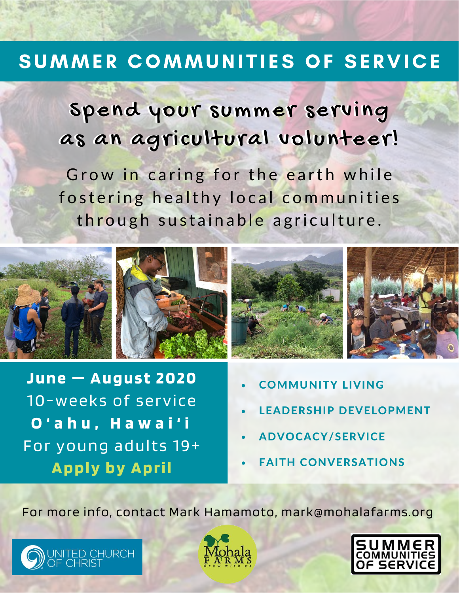# SUMMER COMMUNITIES OF SERVICE

Spend your summer serving Spend your summer serving as an agricultural volunteer! as an agricultural volunteer!

Grow in caring for the earth while fostering healthy local communities through sustainable agriculture.



**June — August 2020** 10-weeks of service **O ' a h u , H a w a i ' i** For young adults 19+ **Apply by April**

ED CHURCH<br>`HRIST

- COMMUNITY LIVING
- LEADERSHIP DEVELOPMENT
- ADVOCACY/SERVICE
- FAITH CONVERSATIONS

For more info, contact Mark Hamamoto, mark@mohalafarms.org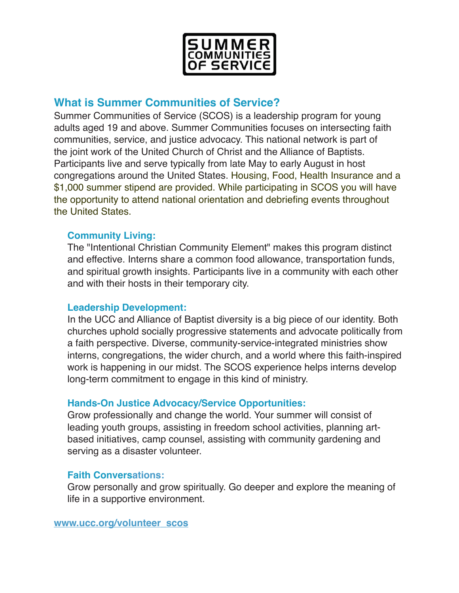

## **What is Summer Communities of Service?**

Summer Communities of Service (SCOS) is a leadership program for young adults aged 19 and above. Summer Communities focuses on intersecting faith communities, service, and justice advocacy. This national network is part of the joint work of the United Church of Christ and the Alliance of Baptists. Participants live and serve typically from late May to early August in host congregations around the United States. Housing, Food, Health Insurance and a \$1,000 summer stipend are provided. While participating in SCOS you will have the opportunity to attend national orientation and debriefing events throughout the United States.

#### **Community Living:**

The "Intentional Christian Community Element" makes this program distinct and effective. Interns share a common food allowance, transportation funds, and spiritual growth insights. Participants live in a community with each other and with their hosts in their temporary city.

#### **Leadership Development:**

In the UCC and Alliance of Baptist diversity is a big piece of our identity. Both churches uphold socially progressive statements and advocate politically from a faith perspective. Diverse, community-service-integrated ministries show interns, congregations, the wider church, and a world where this faith-inspired work is happening in our midst. The SCOS experience helps interns develop long-term commitment to engage in this kind of ministry.

#### **Hands-On Justice Advocacy/Service Opportunities:**

Grow professionally and change the world. Your summer will consist of leading youth groups, assisting in freedom school activities, planning artbased initiatives, camp counsel, assisting with community gardening and serving as a disaster volunteer.

## **Faith Conversations:**

Grow personally and grow spiritually. Go deeper and explore the meaning of life in a supportive environment.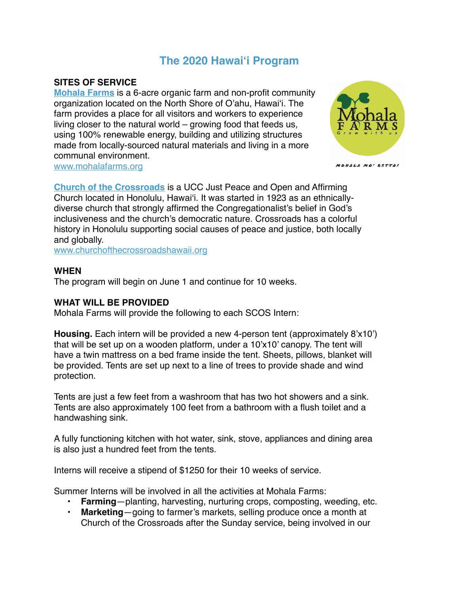# **The 2020 Hawai'i Program**

#### **SITES OF SERVICE**

**[Mohala Farms](http://www.mohalafarms.org/)** is a 6-acre organic farm and non-profit community organization located on the North Shore of O'ahu, Hawai'i. The farm provides a place for all visitors and workers to experience living closer to the natural world – growing food that feeds us, using 100% renewable energy, building and utilizing structures made from locally-sourced natural materials and living in a more communal environment.



[www.mohalafarms.org](http://www.mohalafarms.org/)

**[Church of the Crossroads](http://churchofthecrossroadshawaii.org/)** is a UCC Just Peace and Open and Affirming Church located in Honolulu, Hawai'i. It was started in 1923 as an ethnicallydiverse church that strongly affirmed the Congregationalist's belief in God's inclusiveness and the church's democratic nature. Crossroads has a colorful history in Honolulu supporting social causes of peace and justice, both locally and globally.

[www.churchofthecrossroadshawaii.org](http://www.churchofthecrossroadshawaii.org)

#### **WHEN**

The program will begin on June 1 and continue for 10 weeks.

#### **WHAT WILL BE PROVIDED**

Mohala Farms will provide the following to each SCOS Intern:

**Housing.** Each intern will be provided a new 4-person tent (approximately 8'x10') that will be set up on a wooden platform, under a 10'x10' canopy. The tent will have a twin mattress on a bed frame inside the tent. Sheets, pillows, blanket will be provided. Tents are set up next to a line of trees to provide shade and wind protection.

Tents are just a few feet from a washroom that has two hot showers and a sink. Tents are also approximately 100 feet from a bathroom with a flush toilet and a handwashing sink.

A fully functioning kitchen with hot water, sink, stove, appliances and dining area is also just a hundred feet from the tents.

Interns will receive a stipend of \$1250 for their 10 weeks of service.

Summer Interns will be involved in all the activities at Mohala Farms:

- **Farming**—planting, harvesting, nurturing crops, composting, weeding, etc.
- **Marketing**—going to farmer's markets, selling produce once a month at Church of the Crossroads after the Sunday service, being involved in our